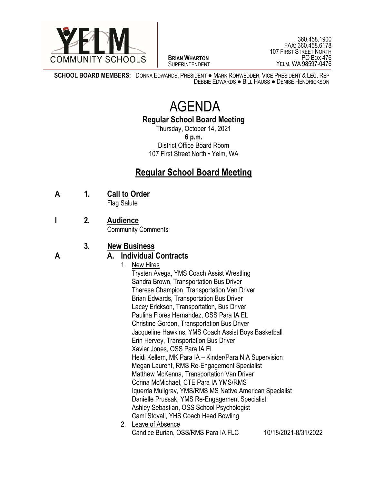

 $\overline{a}$ **BRIAN WHARTON** SUPERINTENDENT

360.458.1900 FAX: 360.458.6178 107 FIRST STREET NORTH PO BOX 476 YELM, WA 98597-0476

**SCHOOL BOARD MEMBERS:** DONNA EDWARDS, PRESIDENT ● MARK ROHWEDDER, VICE PRESIDENT & LEG. REP DEBBIE EDWARDS ● BILL HAUSS ● DENISE HENDRICKSON

# AGENDA

**Regular School Board Meeting**

Thursday, October 14, 2021 **6 p.m.** District Office Board Room 107 First Street North • Yelm, WA

# **Regular School Board Meeting**

**A 1. Call to Order**

Flag Salute

**I 2. Audience**

Community Comments

## **3. New Business**

### **A A. Individual Contracts**

1. New Hires

Trysten Avega, YMS Coach Assist Wrestling Sandra Brown, Transportation Bus Driver Theresa Champion, Transportation Van Driver Brian Edwards, Transportation Bus Driver Lacey Erickson, Transportation, Bus Driver Paulina Flores Hernandez, OSS Para IA EL Christine Gordon, Transportation Bus Driver Jacqueline Hawkins, YMS Coach Assist Boys Basketball Erin Hervey, Transportation Bus Driver Xavier Jones, OSS Para IA EL Heidi Kellem, MK Para IA – Kinder/Para NIA Supervision Megan Laurent, RMS Re-Engagement Specialist Matthew McKenna, Transportation Van Driver Corina McMichael, CTE Para IA YMS/RMS Iquerria Mullgrav, YMS/RMS MS Native American Specialist Danielle Prussak, YMS Re-Engagement Specialist Ashley Sebastian, OSS School Psychologist Cami Stovall, YHS Coach Head Bowling 2. Leave of Absence

Candice Burian, OSS/RMS Para IA FLC 10/18/2021-8/31/2022